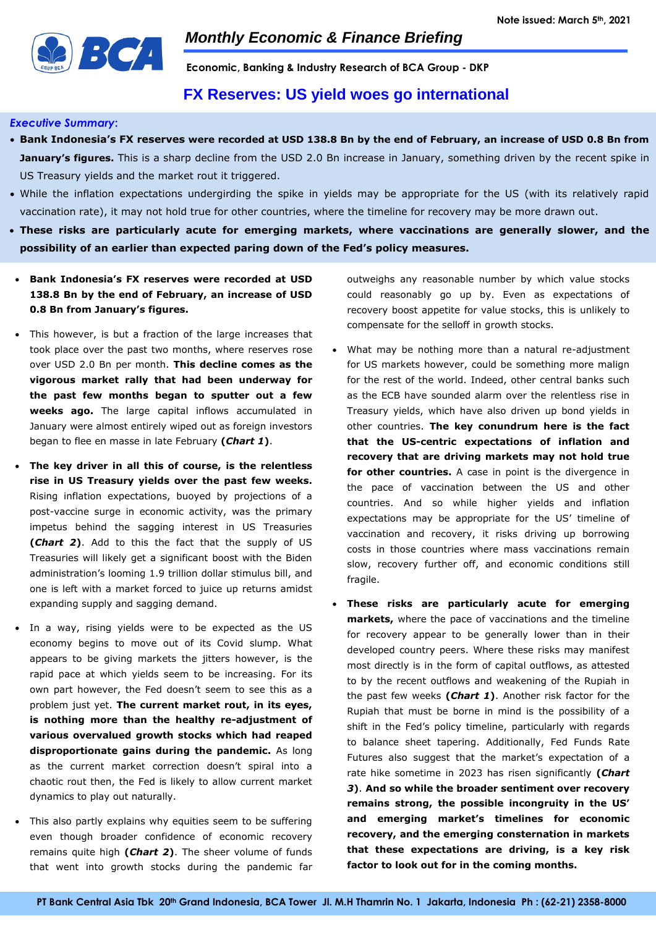

**Economic, Banking & Industry Research of BCA Group - DKP**

## **FX Reserves: US yield woes go international**

### *Executive Summary***:**

- **Bank Indonesia's FX reserves were recorded at USD 138.8 Bn by the end of February, an increase of USD 0.8 Bn from January's figures.** This is a sharp decline from the USD 2.0 Bn increase in January, something driven by the recent spike in US Treasury yields and the market rout it triggered.
- While the inflation expectations undergirding the spike in yields may be appropriate for the US (with its relatively rapid vaccination rate), it may not hold true for other countries, where the timeline for recovery may be more drawn out.
- **These risks are particularly acute for emerging markets, where vaccinations are generally slower, and the possibility of an earlier than expected paring down of the Fed's policy measures.**
- **Bank Indonesia's FX reserves were recorded at USD 138.8 Bn by the end of February, an increase of USD 0.8 Bn from January's figures.**
- This however, is but a fraction of the large increases that took place over the past two months, where reserves rose over USD 2.0 Bn per month. **This decline comes as the vigorous market rally that had been underway for the past few months began to sputter out a few weeks ago.** The large capital inflows accumulated in January were almost entirely wiped out as foreign investors began to flee en masse in late February **(***Chart 1***)**.
- **The key driver in all this of course, is the relentless rise in US Treasury yields over the past few weeks.** Rising inflation expectations, buoyed by projections of a post-vaccine surge in economic activity, was the primary impetus behind the sagging interest in US Treasuries **(***Chart 2***)**. Add to this the fact that the supply of US Treasuries will likely get a significant boost with the Biden administration's looming 1.9 trillion dollar stimulus bill, and one is left with a market forced to juice up returns amidst expanding supply and sagging demand.
- In a way, rising yields were to be expected as the US economy begins to move out of its Covid slump. What appears to be giving markets the jitters however, is the rapid pace at which yields seem to be increasing. For its own part however, the Fed doesn't seem to see this as a problem just yet. **The current market rout, in its eyes, is nothing more than the healthy re-adjustment of various overvalued growth stocks which had reaped disproportionate gains during the pandemic.** As long as the current market correction doesn't spiral into a chaotic rout then, the Fed is likely to allow current market dynamics to play out naturally.
- This also partly explains why equities seem to be suffering even though broader confidence of economic recovery remains quite high **(***Chart 2***)**. The sheer volume of funds that went into growth stocks during the pandemic far

outweighs any reasonable number by which value stocks could reasonably go up by. Even as expectations of recovery boost appetite for value stocks, this is unlikely to compensate for the selloff in growth stocks.

- What may be nothing more than a natural re-adjustment for US markets however, could be something more malign for the rest of the world. Indeed, other central banks such as the ECB have sounded alarm over the relentless rise in Treasury yields, which have also driven up bond yields in other countries. **The key conundrum here is the fact that the US-centric expectations of inflation and recovery that are driving markets may not hold true for other countries.** A case in point is the divergence in the pace of vaccination between the US and other countries. And so while higher yields and inflation expectations may be appropriate for the US' timeline of vaccination and recovery, it risks driving up borrowing costs in those countries where mass vaccinations remain slow, recovery further off, and economic conditions still fragile.
- **These risks are particularly acute for emerging markets,** where the pace of vaccinations and the timeline for recovery appear to be generally lower than in their developed country peers. Where these risks may manifest most directly is in the form of capital outflows, as attested to by the recent outflows and weakening of the Rupiah in the past few weeks **(***Chart 1***)**. Another risk factor for the Rupiah that must be borne in mind is the possibility of a shift in the Fed's policy timeline, particularly with regards to balance sheet tapering. Additionally, Fed Funds Rate Futures also suggest that the market's expectation of a rate hike sometime in 2023 has risen significantly **(***Chart 3***)**. **And so while the broader sentiment over recovery remains strong, the possible incongruity in the US' and emerging market's timelines for economic recovery, and the emerging consternation in markets that these expectations are driving, is a key risk factor to look out for in the coming months.**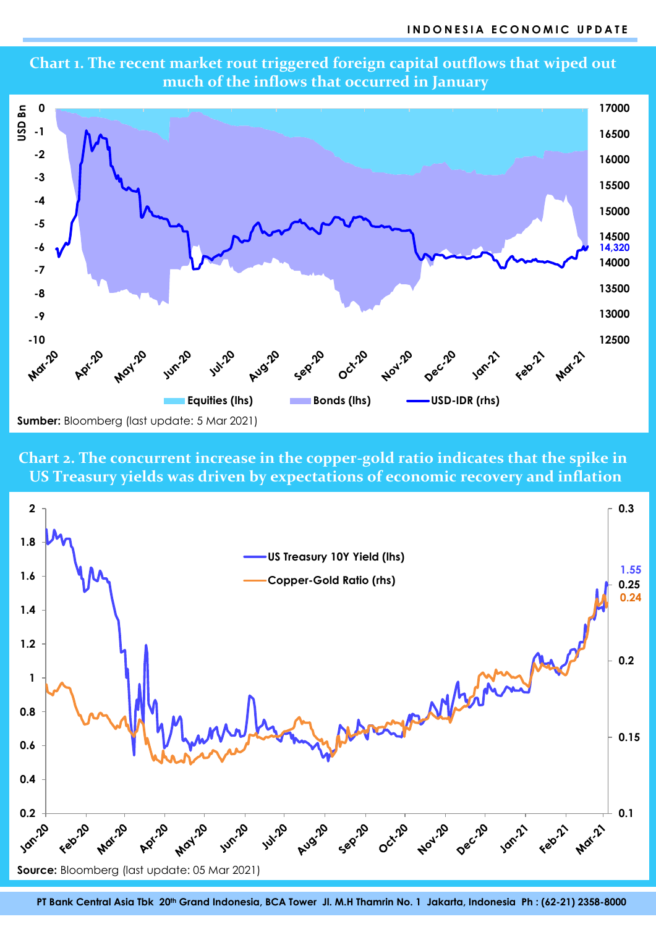

**Chart 1. The recent market rout triggered foreign capital outflows that wiped out much of the inflows that occurred in January**

**Chart 2. The concurrent increase in the copper-gold ratio indicates that the spike in US Treasury yields was driven by expectations of economic recovery and inflation**



**PT Bank Central Asia Tbk 20 th Grand Indonesia, BCA Tower Jl. M.H Thamrin No. 1 Jakarta, Indonesia Ph : (62-21) 2358-8000**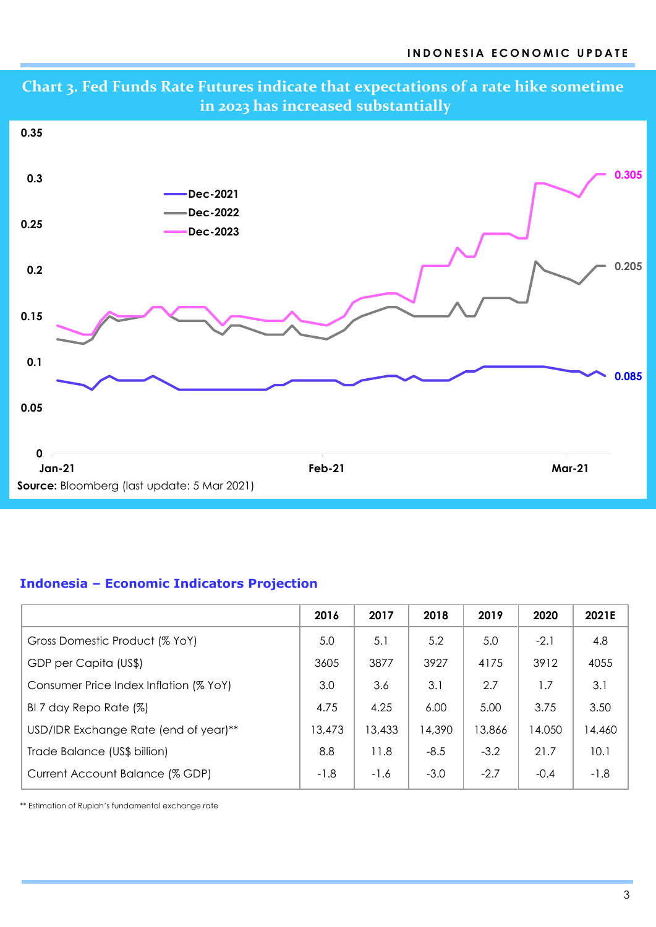

# **Indonesia – Economic Indicators Projection**

|                                        | 2016   | 2017   | 2018   | 2019   | 2020   | 2021E  |
|----------------------------------------|--------|--------|--------|--------|--------|--------|
| Gross Domestic Product (% YoY)         | 5.0    | 5.1    | 5.2    | 5.0    | $-2.1$ | 4.8    |
| GDP per Capita (US\$)                  | 3605   | 3877   | 3927   | 4175   | 3912   | 4055   |
| Consumer Price Index Inflation (% YoY) | 3.0    | 3.6    | 3.1    | 2.7    | 1.7    | 3.1    |
| BI 7 day Repo Rate (%)                 | 4.75   | 4.25   | 6.00   | 5.00   | 3.75   | 3.50   |
| USD/IDR Exchange Rate (end of year)**  | 13,473 | 13,433 | 14,390 | 13,866 | 14.050 | 14.460 |
| Trade Balance (US\$ billion)           | 8.8    | 11.8   | $-8.5$ | $-3.2$ | 21.7   | 10.1   |
| Current Account Balance (% GDP)        | $-1.8$ | $-1.6$ | $-3.0$ | $-2.7$ | $-0.4$ | $-1.8$ |

\*\* Estimation of Rupiah's fundamental exchange rate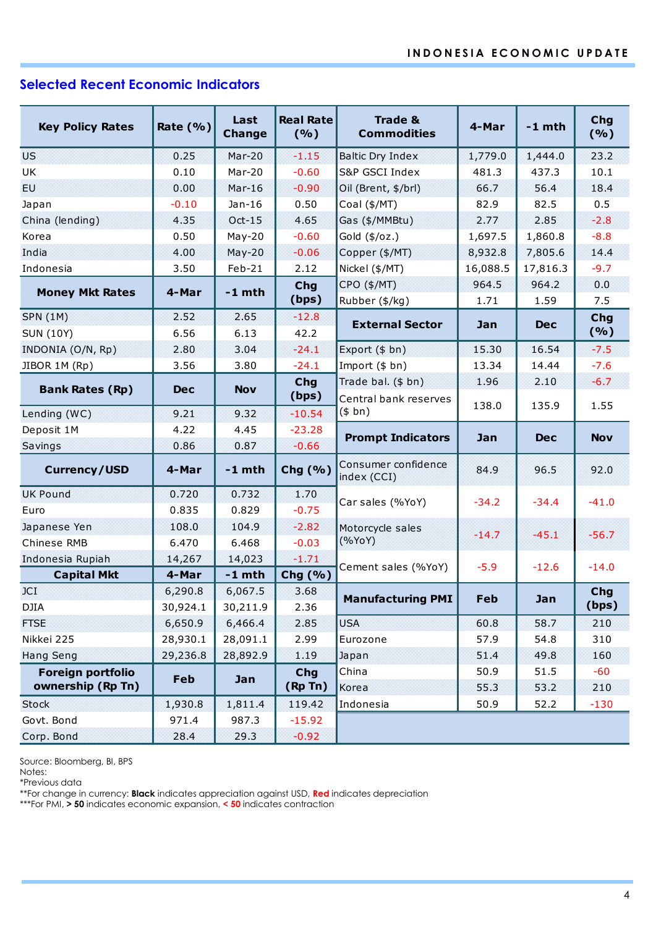## **Selected Recent Economic Indicators**

|                         |             | Last          | <b>Real Rate</b>               | <b>Trade &amp;</b>                 | 4-Mar    | $-1$ mth   | Chg<br>(%) |
|-------------------------|-------------|---------------|--------------------------------|------------------------------------|----------|------------|------------|
| <b>Key Policy Rates</b> | Rate $(% )$ | <b>Change</b> | (%)                            | <b>Commodities</b>                 |          |            |            |
| <b>US</b>               | 0.25        | Mar-20        | $-1.15$<br>Baltic Dry Index    |                                    | 1,779.0  | 1,444.0    | 23.2       |
| UK                      | 0.10        | Mar-20        | $-0.60$<br>S&P GSCI Index      |                                    | 481.3    | 437.3      | 10.1       |
| EU.                     | 0.00        | $Mar-16$      | $-0.90$<br>Oil (Brent, \$/brl) |                                    | 66.7     | 56.4       | 18.4       |
| Japan                   | $-0.10$     | $Jan-16$      | 0.50<br>Coal (\$/MT)           |                                    | 82.9     | 82.5       | 0.5        |
| China (lending)         | 4.35        | $Oct-15$      | 4.65<br>Gas (\$/MMBtu)         |                                    | 2.77     | 2.85       | $-2.8$     |
| Korea                   | 0.50        | $May-20$      | $-0.60$<br>Gold (\$/oz.)       |                                    | 1,697.5  | 1,860.8    | $-8.8$     |
| India                   | 4.00        | $May-20$      | $-0.06$<br>Copper (\$/MT)      |                                    | 8,932.8  | 7,805.6    | 14.4       |
| Indonesia               | 3.50        | $Feb-21$      | 2.12<br>Nickel (\$/MT)         |                                    | 16,088.5 | 17,816.3   | $-9.7$     |
|                         |             | $-1$ mth      | <b>Chg</b>                     | CPO (\$/MT)                        | 964.5    | 964.2      | 0.0        |
| <b>Money Mkt Rates</b>  | 4-Mar       |               | (bps)                          | Rubber (\$/kg)                     | 1.71     | 1.59       | 7.5        |
| <b>SPN (1M)</b>         | 2.52        | 2.65          | $-12.8$                        | <b>External Sector</b>             | Jan      | <b>Dec</b> | Chg<br>(%) |
| <b>SUN (10Y)</b>        | 6.56        | 6.13          | 42.2                           |                                    |          |            |            |
| INDONIA (O/N, Rp)       | 2.80        | 3.04          | $-24.1$                        | Export (\$ bn)                     | 15.30    | 16.54      | $-7.5$     |
| JIBOR 1M (Rp)           | 3.56        | 3.80          | $-24.1$                        | Import (\$ bn)                     | 13.34    | 14.44      | $-7.6$     |
| <b>Bank Rates (Rp)</b>  | <b>Dec</b>  | <b>Nov</b>    | Chg                            | Trade bal. (\$ bn)                 | 1.96     | 2.10       | $-6.7$     |
|                         |             |               | (bps)                          | Central bank reserves              | 138.0    | 135.9      | 1.55       |
| Lending (WC)            | 9.21        | 9.32          | $-10.54$                       | (\$bn)                             |          |            |            |
| Deposit 1M              | 4.22        | 4.45          | $-23.28$                       | <b>Prompt Indicators</b>           | Jan      | <b>Dec</b> | <b>Nov</b> |
| Savings                 | 0.86        | 0.87          | $-0.66$                        |                                    |          |            |            |
| <b>Currency/USD</b>     | 4-Mar       | $-1$ mth      | Chg (%)                        | Consumer confidence<br>index (CCI) | 84.9     | 96.5       | 92.0       |
| <b>UK Pound</b>         | 0.720       | 0.732         | 1.70                           | Car sales (%YoY)                   | $-34.2$  | $-34.4$    | $-41.0$    |
| Euro                    | 0.835       | 0.829         | $-0.75$                        |                                    |          |            |            |
| Japanese Yen            | 108.0       | 104.9         | $-2.82$                        | Motorcycle sales                   | $-14.7$  | $-45.1$    | $-56.7$    |
| Chinese RMB             | 6.470       | 6.468         | $-0.03$                        | (%YoY)                             |          |            |            |
| Indonesia Rupiah        | 14,267      | 14,023        | $-1.71$                        | Cement sales (%YoY)                | $-5.9$   | $-12.6$    | $-14.0$    |
| <b>Capital Mkt</b>      | 4-Mar       | $-1$ mth      | Chg (%)                        |                                    |          |            |            |
| JCI                     | 6,290.8     | 6,067.5       | 3.68                           | <b>Manufacturing PMI</b>           | Feb      | Jan        | <b>Chg</b> |
| DJIA                    | 30,924.1    | 30,211.9      | 2.36                           |                                    |          |            | (bps)      |
| <b>FTSE</b>             | 6,650.9     | 6,466.4       | 2.85                           | <b>USA</b>                         | 60.8     | 58.7       | 210        |
| Nikkei 225              | 28,930.1    | 28,091.1      | 2.99                           | Eurozone                           | 57.9     | 54.8       | 310        |
| <b>Hang Seng</b>        | 29,236.8    | 28,892.9      | 1.19<br>Japan                  |                                    | 51.4     | 49.8       | 160        |
| Foreign portfolio       | Feb         | Jan           | Chg                            | China                              | 50.9     | 51.5       | $-60$      |
| ownership (Rp Tn)       |             |               | (Rp Tn)                        | Korea                              | 55.3     | 53.2       | 210        |
| <b>Stock</b>            | 1,930.8     | 1,811.4       | 119.42                         | Indonesia                          | 50.9     | 52.2       | $-130$     |
| Govt. Bond              | 971.4       | 987.3         | $-15.92$                       |                                    |          |            |            |
| Corp. Bond              | 28.4        | 29.3          | $-0.92$                        |                                    |          |            |            |

Source: Bloomberg, BI, BPS

Notes:

\*Previous data

\*\*For change in currency: **Black** indicates appreciation against USD, **Red** indicates depreciation

\*\*\*For PMI, **> 50** indicates economic expansion, **< 50** indicates contraction